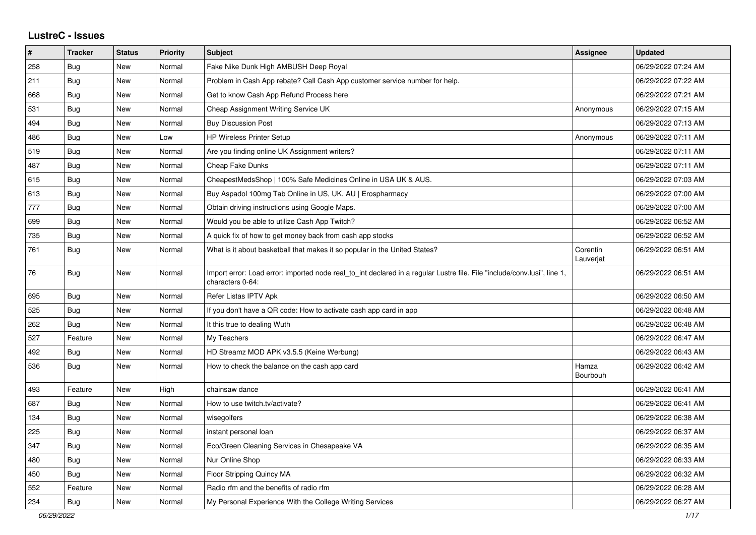## **LustreC - Issues**

| $\sharp$ | <b>Tracker</b> | <b>Status</b> | <b>Priority</b> | <b>Subject</b>                                                                                                                               | <b>Assignee</b>       | <b>Updated</b>      |
|----------|----------------|---------------|-----------------|----------------------------------------------------------------------------------------------------------------------------------------------|-----------------------|---------------------|
| 258      | <b>Bug</b>     | <b>New</b>    | Normal          | Fake Nike Dunk High AMBUSH Deep Royal                                                                                                        |                       | 06/29/2022 07:24 AM |
| 211      | <b>Bug</b>     | <b>New</b>    | Normal          | Problem in Cash App rebate? Call Cash App customer service number for help.                                                                  |                       | 06/29/2022 07:22 AM |
| 668      | <b>Bug</b>     | New           | Normal          | Get to know Cash App Refund Process here                                                                                                     |                       | 06/29/2022 07:21 AM |
| 531      | <b>Bug</b>     | <b>New</b>    | Normal          | Cheap Assignment Writing Service UK                                                                                                          | Anonymous             | 06/29/2022 07:15 AM |
| 494      | Bug            | New           | Normal          | <b>Buy Discussion Post</b>                                                                                                                   |                       | 06/29/2022 07:13 AM |
| 486      | Bug            | <b>New</b>    | Low             | <b>HP Wireless Printer Setup</b>                                                                                                             | Anonymous             | 06/29/2022 07:11 AM |
| 519      | Bug            | <b>New</b>    | Normal          | Are you finding online UK Assignment writers?                                                                                                |                       | 06/29/2022 07:11 AM |
| 487      | Bug            | <b>New</b>    | Normal          | Cheap Fake Dunks                                                                                                                             |                       | 06/29/2022 07:11 AM |
| 615      | <b>Bug</b>     | <b>New</b>    | Normal          | CheapestMedsShop   100% Safe Medicines Online in USA UK & AUS.                                                                               |                       | 06/29/2022 07:03 AM |
| 613      | Bug            | <b>New</b>    | Normal          | Buy Aspadol 100mg Tab Online in US, UK, AU   Erospharmacy                                                                                    |                       | 06/29/2022 07:00 AM |
| 777      | Bug            | <b>New</b>    | Normal          | Obtain driving instructions using Google Maps.                                                                                               |                       | 06/29/2022 07:00 AM |
| 699      | Bug            | <b>New</b>    | Normal          | Would you be able to utilize Cash App Twitch?                                                                                                |                       | 06/29/2022 06:52 AM |
| 735      | <b>Bug</b>     | <b>New</b>    | Normal          | A quick fix of how to get money back from cash app stocks                                                                                    |                       | 06/29/2022 06:52 AM |
| 761      | <b>Bug</b>     | New           | Normal          | What is it about basketball that makes it so popular in the United States?                                                                   | Corentin<br>Lauverjat | 06/29/2022 06:51 AM |
| 76       | Bug            | <b>New</b>    | Normal          | Import error: Load error: imported node real_to_int declared in a regular Lustre file. File "include/conv.lusi", line 1,<br>characters 0-64: |                       | 06/29/2022 06:51 AM |
| 695      | Bug            | New           | Normal          | Refer Listas IPTV Apk                                                                                                                        |                       | 06/29/2022 06:50 AM |
| 525      | <b>Bug</b>     | <b>New</b>    | Normal          | If you don't have a QR code: How to activate cash app card in app                                                                            |                       | 06/29/2022 06:48 AM |
| 262      | <b>Bug</b>     | <b>New</b>    | Normal          | It this true to dealing Wuth                                                                                                                 |                       | 06/29/2022 06:48 AM |
| 527      | Feature        | <b>New</b>    | Normal          | My Teachers                                                                                                                                  |                       | 06/29/2022 06:47 AM |
| 492      | <b>Bug</b>     | New           | Normal          | HD Streamz MOD APK v3.5.5 (Keine Werbung)                                                                                                    |                       | 06/29/2022 06:43 AM |
| 536      | Bug            | New           | Normal          | How to check the balance on the cash app card                                                                                                | Hamza<br>Bourbouh     | 06/29/2022 06:42 AM |
| 493      | Feature        | <b>New</b>    | High            | chainsaw dance                                                                                                                               |                       | 06/29/2022 06:41 AM |
| 687      | <b>Bug</b>     | New           | Normal          | How to use twitch.tv/activate?                                                                                                               |                       | 06/29/2022 06:41 AM |
| 134      | Bug            | New           | Normal          | wisegolfers                                                                                                                                  |                       | 06/29/2022 06:38 AM |
| 225      | <b>Bug</b>     | <b>New</b>    | Normal          | instant personal loan                                                                                                                        |                       | 06/29/2022 06:37 AM |
| 347      | <b>Bug</b>     | New           | Normal          | Eco/Green Cleaning Services in Chesapeake VA                                                                                                 |                       | 06/29/2022 06:35 AM |
| 480      | Bug            | <b>New</b>    | Normal          | Nur Online Shop                                                                                                                              |                       | 06/29/2022 06:33 AM |
| 450      | <b>Bug</b>     | <b>New</b>    | Normal          | Floor Stripping Quincy MA                                                                                                                    |                       | 06/29/2022 06:32 AM |
| 552      | Feature        | <b>New</b>    | Normal          | Radio rfm and the benefits of radio rfm                                                                                                      |                       | 06/29/2022 06:28 AM |
| 234      | <b>Bug</b>     | <b>New</b>    | Normal          | My Personal Experience With the College Writing Services                                                                                     |                       | 06/29/2022 06:27 AM |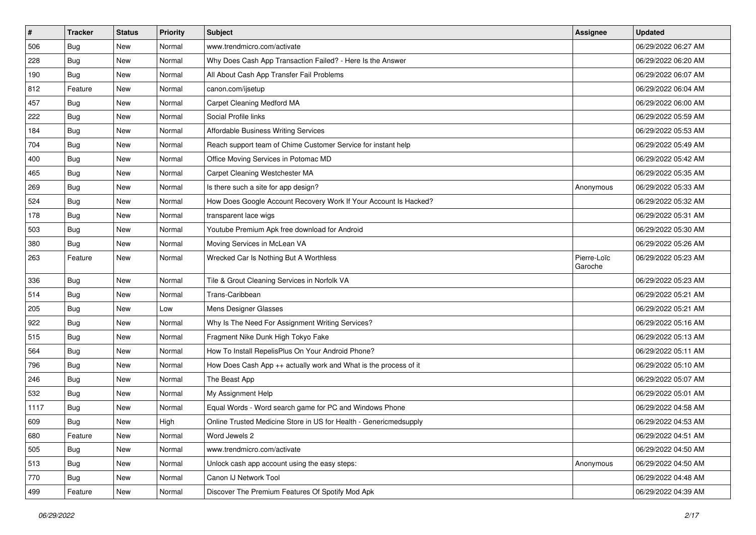| $\sharp$ | <b>Tracker</b> | <b>Status</b> | <b>Priority</b> | Subject                                                           | <b>Assignee</b>        | <b>Updated</b>      |
|----------|----------------|---------------|-----------------|-------------------------------------------------------------------|------------------------|---------------------|
| 506      | <b>Bug</b>     | New           | Normal          | www.trendmicro.com/activate                                       |                        | 06/29/2022 06:27 AM |
| 228      | <b>Bug</b>     | New           | Normal          | Why Does Cash App Transaction Failed? - Here Is the Answer        |                        | 06/29/2022 06:20 AM |
| 190      | Bug            | New           | Normal          | All About Cash App Transfer Fail Problems                         |                        | 06/29/2022 06:07 AM |
| 812      | Feature        | New           | Normal          | canon.com/ijsetup                                                 |                        | 06/29/2022 06:04 AM |
| 457      | Bug            | New           | Normal          | Carpet Cleaning Medford MA                                        |                        | 06/29/2022 06:00 AM |
| 222      | Bug            | New           | Normal          | Social Profile links                                              |                        | 06/29/2022 05:59 AM |
| 184      | Bug            | New           | Normal          | Affordable Business Writing Services                              |                        | 06/29/2022 05:53 AM |
| 704      | <b>Bug</b>     | New           | Normal          | Reach support team of Chime Customer Service for instant help     |                        | 06/29/2022 05:49 AM |
| 400      | Bug            | New           | Normal          | Office Moving Services in Potomac MD                              |                        | 06/29/2022 05:42 AM |
| 465      | Bug            | New           | Normal          | Carpet Cleaning Westchester MA                                    |                        | 06/29/2022 05:35 AM |
| 269      | <b>Bug</b>     | New           | Normal          | Is there such a site for app design?                              | Anonymous              | 06/29/2022 05:33 AM |
| 524      | Bug            | New           | Normal          | How Does Google Account Recovery Work If Your Account Is Hacked?  |                        | 06/29/2022 05:32 AM |
| 178      | Bug            | New           | Normal          | transparent lace wigs                                             |                        | 06/29/2022 05:31 AM |
| 503      | Bug            | New           | Normal          | Youtube Premium Apk free download for Android                     |                        | 06/29/2022 05:30 AM |
| 380      | <b>Bug</b>     | New           | Normal          | Moving Services in McLean VA                                      |                        | 06/29/2022 05:26 AM |
| 263      | Feature        | New           | Normal          | Wrecked Car Is Nothing But A Worthless                            | Pierre-Loïc<br>Garoche | 06/29/2022 05:23 AM |
| 336      | Bug            | New           | Normal          | Tile & Grout Cleaning Services in Norfolk VA                      |                        | 06/29/2022 05:23 AM |
| 514      | <b>Bug</b>     | New           | Normal          | Trans-Caribbean                                                   |                        | 06/29/2022 05:21 AM |
| 205      | Bug            | New           | Low             | Mens Designer Glasses                                             |                        | 06/29/2022 05:21 AM |
| 922      | Bug            | New           | Normal          | Why Is The Need For Assignment Writing Services?                  |                        | 06/29/2022 05:16 AM |
| 515      | <b>Bug</b>     | New           | Normal          | Fragment Nike Dunk High Tokyo Fake                                |                        | 06/29/2022 05:13 AM |
| 564      | Bug            | New           | Normal          | How To Install RepelisPlus On Your Android Phone?                 |                        | 06/29/2022 05:11 AM |
| 796      | <b>Bug</b>     | New           | Normal          | How Does Cash App ++ actually work and What is the process of it  |                        | 06/29/2022 05:10 AM |
| 246      | Bug            | New           | Normal          | The Beast App                                                     |                        | 06/29/2022 05:07 AM |
| 532      | Bug            | New           | Normal          | My Assignment Help                                                |                        | 06/29/2022 05:01 AM |
| 1117     | Bug            | New           | Normal          | Equal Words - Word search game for PC and Windows Phone           |                        | 06/29/2022 04:58 AM |
| 609      | Bug            | New           | High            | Online Trusted Medicine Store in US for Health - Genericmedsupply |                        | 06/29/2022 04:53 AM |
| 680      | Feature        | New           | Normal          | Word Jewels 2                                                     |                        | 06/29/2022 04:51 AM |
| 505      | <b>Bug</b>     | New           | Normal          | www.trendmicro.com/activate                                       |                        | 06/29/2022 04:50 AM |
| 513      | Bug            | New           | Normal          | Unlock cash app account using the easy steps:                     | Anonymous              | 06/29/2022 04:50 AM |
| 770      | Bug            | New           | Normal          | Canon IJ Network Tool                                             |                        | 06/29/2022 04:48 AM |
| 499      | Feature        | New           | Normal          | Discover The Premium Features Of Spotify Mod Apk                  |                        | 06/29/2022 04:39 AM |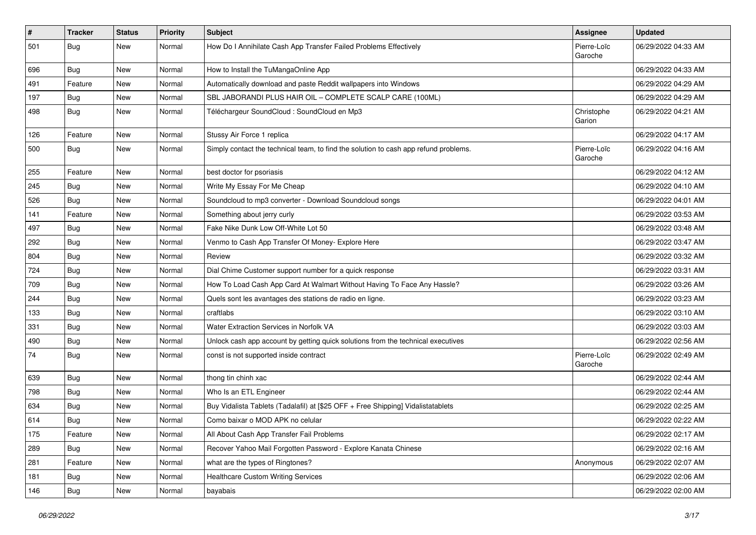| $\vert$ # | <b>Tracker</b> | <b>Status</b> | <b>Priority</b> | <b>Subject</b>                                                                       | <b>Assignee</b>        | <b>Updated</b>      |
|-----------|----------------|---------------|-----------------|--------------------------------------------------------------------------------------|------------------------|---------------------|
| 501       | Bug            | New           | Normal          | How Do I Annihilate Cash App Transfer Failed Problems Effectively                    | Pierre-Loïc<br>Garoche | 06/29/2022 04:33 AM |
| 696       | <b>Bug</b>     | New           | Normal          | How to Install the TuMangaOnline App                                                 |                        | 06/29/2022 04:33 AM |
| 491       | Feature        | New           | Normal          | Automatically download and paste Reddit wallpapers into Windows                      |                        | 06/29/2022 04:29 AM |
| 197       | Bug            | New           | Normal          | SBL JABORANDI PLUS HAIR OIL - COMPLETE SCALP CARE (100ML)                            |                        | 06/29/2022 04:29 AM |
| 498       | <b>Bug</b>     | New           | Normal          | Téléchargeur SoundCloud : SoundCloud en Mp3                                          | Christophe<br>Garion   | 06/29/2022 04:21 AM |
| 126       | Feature        | <b>New</b>    | Normal          | Stussy Air Force 1 replica                                                           |                        | 06/29/2022 04:17 AM |
| 500       | <b>Bug</b>     | New           | Normal          | Simply contact the technical team, to find the solution to cash app refund problems. | Pierre-Loïc<br>Garoche | 06/29/2022 04:16 AM |
| 255       | Feature        | New           | Normal          | best doctor for psoriasis                                                            |                        | 06/29/2022 04:12 AM |
| 245       | <b>Bug</b>     | New           | Normal          | Write My Essay For Me Cheap                                                          |                        | 06/29/2022 04:10 AM |
| 526       | Bug            | New           | Normal          | Soundcloud to mp3 converter - Download Soundcloud songs                              |                        | 06/29/2022 04:01 AM |
| 141       | Feature        | New           | Normal          | Something about jerry curly                                                          |                        | 06/29/2022 03:53 AM |
| 497       | Bug            | New           | Normal          | Fake Nike Dunk Low Off-White Lot 50                                                  |                        | 06/29/2022 03:48 AM |
| 292       | Bug            | New           | Normal          | Venmo to Cash App Transfer Of Money- Explore Here                                    |                        | 06/29/2022 03:47 AM |
| 804       | <b>Bug</b>     | New           | Normal          | Review                                                                               |                        | 06/29/2022 03:32 AM |
| 724       | <b>Bug</b>     | New           | Normal          | Dial Chime Customer support number for a quick response                              |                        | 06/29/2022 03:31 AM |
| 709       | <b>Bug</b>     | New           | Normal          | How To Load Cash App Card At Walmart Without Having To Face Any Hassle?              |                        | 06/29/2022 03:26 AM |
| 244       | <b>Bug</b>     | New           | Normal          | Quels sont les avantages des stations de radio en ligne.                             |                        | 06/29/2022 03:23 AM |
| 133       | Bug            | New           | Normal          | craftlabs                                                                            |                        | 06/29/2022 03:10 AM |
| 331       | Bug            | New           | Normal          | Water Extraction Services in Norfolk VA                                              |                        | 06/29/2022 03:03 AM |
| 490       | <b>Bug</b>     | New           | Normal          | Unlock cash app account by getting quick solutions from the technical executives     |                        | 06/29/2022 02:56 AM |
| 74        | Bug            | New           | Normal          | const is not supported inside contract                                               | Pierre-Loïc<br>Garoche | 06/29/2022 02:49 AM |
| 639       | <b>Bug</b>     | New           | Normal          | thong tin chinh xac                                                                  |                        | 06/29/2022 02:44 AM |
| 798       | Bug            | New           | Normal          | Who Is an ETL Engineer                                                               |                        | 06/29/2022 02:44 AM |
| 634       | <b>Bug</b>     | New           | Normal          | Buy Vidalista Tablets (Tadalafil) at [\$25 OFF + Free Shipping] Vidalistatablets     |                        | 06/29/2022 02:25 AM |
| 614       | Bug            | New           | Normal          | Como baixar o MOD APK no celular                                                     |                        | 06/29/2022 02:22 AM |
| 175       | Feature        | New           | Normal          | All About Cash App Transfer Fail Problems                                            |                        | 06/29/2022 02:17 AM |
| 289       | <b>Bug</b>     | New           | Normal          | Recover Yahoo Mail Forgotten Password - Explore Kanata Chinese                       |                        | 06/29/2022 02:16 AM |
| 281       | Feature        | New           | Normal          | what are the types of Ringtones?                                                     | Anonymous              | 06/29/2022 02:07 AM |
| 181       | <b>Bug</b>     | New           | Normal          | Healthcare Custom Writing Services                                                   |                        | 06/29/2022 02:06 AM |
| 146       | <b>Bug</b>     | New           | Normal          | bayabais                                                                             |                        | 06/29/2022 02:00 AM |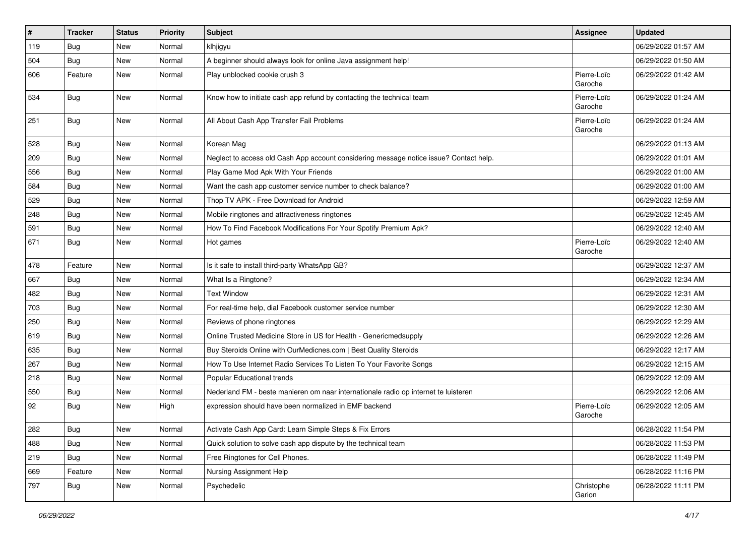| $\vert$ # | <b>Tracker</b> | <b>Status</b> | Priority | <b>Subject</b>                                                                         | <b>Assignee</b>        | <b>Updated</b>      |
|-----------|----------------|---------------|----------|----------------------------------------------------------------------------------------|------------------------|---------------------|
| 119       | <b>Bug</b>     | New           | Normal   | klhjigyu                                                                               |                        | 06/29/2022 01:57 AM |
| 504       | <b>Bug</b>     | New           | Normal   | A beginner should always look for online Java assignment help!                         |                        | 06/29/2022 01:50 AM |
| 606       | Feature        | New           | Normal   | Play unblocked cookie crush 3                                                          | Pierre-Loïc<br>Garoche | 06/29/2022 01:42 AM |
| 534       | <b>Bug</b>     | New           | Normal   | Know how to initiate cash app refund by contacting the technical team                  | Pierre-Loïc<br>Garoche | 06/29/2022 01:24 AM |
| 251       | <b>Bug</b>     | New           | Normal   | All About Cash App Transfer Fail Problems                                              | Pierre-Loïc<br>Garoche | 06/29/2022 01:24 AM |
| 528       | <b>Bug</b>     | <b>New</b>    | Normal   | Korean Mag                                                                             |                        | 06/29/2022 01:13 AM |
| 209       | <b>Bug</b>     | New           | Normal   | Neglect to access old Cash App account considering message notice issue? Contact help. |                        | 06/29/2022 01:01 AM |
| 556       | Bug            | New           | Normal   | Play Game Mod Apk With Your Friends                                                    |                        | 06/29/2022 01:00 AM |
| 584       | <b>Bug</b>     | New           | Normal   | Want the cash app customer service number to check balance?                            |                        | 06/29/2022 01:00 AM |
| 529       | Bug            | New           | Normal   | Thop TV APK - Free Download for Android                                                |                        | 06/29/2022 12:59 AM |
| 248       | <b>Bug</b>     | New           | Normal   | Mobile ringtones and attractiveness ringtones                                          |                        | 06/29/2022 12:45 AM |
| 591       | Bug            | New           | Normal   | How To Find Facebook Modifications For Your Spotify Premium Apk?                       |                        | 06/29/2022 12:40 AM |
| 671       | Bug            | New           | Normal   | Hot games                                                                              | Pierre-Loïc<br>Garoche | 06/29/2022 12:40 AM |
| 478       | Feature        | <b>New</b>    | Normal   | Is it safe to install third-party WhatsApp GB?                                         |                        | 06/29/2022 12:37 AM |
| 667       | Bug            | New           | Normal   | What Is a Ringtone?                                                                    |                        | 06/29/2022 12:34 AM |
| 482       | <b>Bug</b>     | New           | Normal   | <b>Text Window</b>                                                                     |                        | 06/29/2022 12:31 AM |
| 703       | Bug            | New           | Normal   | For real-time help, dial Facebook customer service number                              |                        | 06/29/2022 12:30 AM |
| 250       | <b>Bug</b>     | New           | Normal   | Reviews of phone ringtones                                                             |                        | 06/29/2022 12:29 AM |
| 619       | <b>Bug</b>     | New           | Normal   | Online Trusted Medicine Store in US for Health - Genericmedsupply                      |                        | 06/29/2022 12:26 AM |
| 635       | <b>Bug</b>     | New           | Normal   | Buy Steroids Online with OurMedicnes.com   Best Quality Steroids                       |                        | 06/29/2022 12:17 AM |
| 267       | <b>Bug</b>     | New           | Normal   | How To Use Internet Radio Services To Listen To Your Favorite Songs                    |                        | 06/29/2022 12:15 AM |
| 218       | Bug            | New           | Normal   | Popular Educational trends                                                             |                        | 06/29/2022 12:09 AM |
| 550       | <b>Bug</b>     | New           | Normal   | Nederland FM - beste manieren om naar internationale radio op internet te luisteren    |                        | 06/29/2022 12:06 AM |
| 92        | <b>Bug</b>     | New           | High     | expression should have been normalized in EMF backend                                  | Pierre-Loïc<br>Garoche | 06/29/2022 12:05 AM |
| 282       | Bug            | New           | Normal   | Activate Cash App Card: Learn Simple Steps & Fix Errors                                |                        | 06/28/2022 11:54 PM |
| 488       | Bug            | New           | Normal   | Quick solution to solve cash app dispute by the technical team                         |                        | 06/28/2022 11:53 PM |
| 219       | Bug            | New           | Normal   | Free Ringtones for Cell Phones.                                                        |                        | 06/28/2022 11:49 PM |
| 669       | Feature        | New           | Normal   | Nursing Assignment Help                                                                |                        | 06/28/2022 11:16 PM |
| 797       | Bug            | New           | Normal   | Psychedelic                                                                            | Christophe<br>Garion   | 06/28/2022 11:11 PM |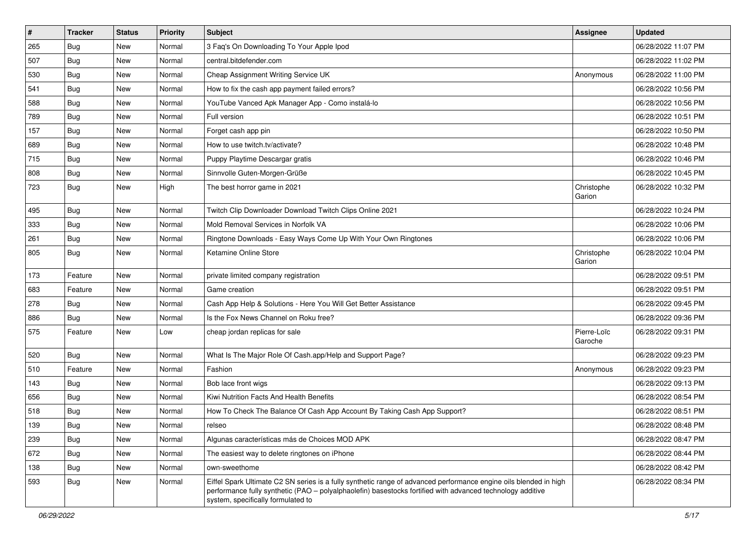| $\sharp$ | <b>Tracker</b> | <b>Status</b> | Priority | <b>Subject</b>                                                                                                                                                                                                                                                        | <b>Assignee</b>        | <b>Updated</b>      |
|----------|----------------|---------------|----------|-----------------------------------------------------------------------------------------------------------------------------------------------------------------------------------------------------------------------------------------------------------------------|------------------------|---------------------|
| 265      | <b>Bug</b>     | New           | Normal   | 3 Faq's On Downloading To Your Apple Ipod                                                                                                                                                                                                                             |                        | 06/28/2022 11:07 PM |
| 507      | Bug            | New           | Normal   | central.bitdefender.com                                                                                                                                                                                                                                               |                        | 06/28/2022 11:02 PM |
| 530      | Bug            | New           | Normal   | Cheap Assignment Writing Service UK                                                                                                                                                                                                                                   | Anonymous              | 06/28/2022 11:00 PM |
| 541      | <b>Bug</b>     | New           | Normal   | How to fix the cash app payment failed errors?                                                                                                                                                                                                                        |                        | 06/28/2022 10:56 PM |
| 588      | Bug            | New           | Normal   | YouTube Vanced Apk Manager App - Como instalá-lo                                                                                                                                                                                                                      |                        | 06/28/2022 10:56 PM |
| 789      | <b>Bug</b>     | New           | Normal   | Full version                                                                                                                                                                                                                                                          |                        | 06/28/2022 10:51 PM |
| 157      | Bug            | New           | Normal   | Forget cash app pin                                                                                                                                                                                                                                                   |                        | 06/28/2022 10:50 PM |
| 689      | <b>Bug</b>     | New           | Normal   | How to use twitch.tv/activate?                                                                                                                                                                                                                                        |                        | 06/28/2022 10:48 PM |
| 715      | <b>Bug</b>     | New           | Normal   | Puppy Playtime Descargar gratis                                                                                                                                                                                                                                       |                        | 06/28/2022 10:46 PM |
| 808      | Bug            | New           | Normal   | Sinnvolle Guten-Morgen-Grüße                                                                                                                                                                                                                                          |                        | 06/28/2022 10:45 PM |
| 723      | Bug            | New           | High     | The best horror game in 2021                                                                                                                                                                                                                                          | Christophe<br>Garion   | 06/28/2022 10:32 PM |
| 495      | Bug            | New           | Normal   | Twitch Clip Downloader Download Twitch Clips Online 2021                                                                                                                                                                                                              |                        | 06/28/2022 10:24 PM |
| 333      | Bug            | New           | Normal   | Mold Removal Services in Norfolk VA                                                                                                                                                                                                                                   |                        | 06/28/2022 10:06 PM |
| 261      | <b>Bug</b>     | New           | Normal   | Ringtone Downloads - Easy Ways Come Up With Your Own Ringtones                                                                                                                                                                                                        |                        | 06/28/2022 10:06 PM |
| 805      | Bug            | New           | Normal   | Ketamine Online Store                                                                                                                                                                                                                                                 | Christophe<br>Garion   | 06/28/2022 10:04 PM |
| 173      | Feature        | New           | Normal   | private limited company registration                                                                                                                                                                                                                                  |                        | 06/28/2022 09:51 PM |
| 683      | Feature        | New           | Normal   | Game creation                                                                                                                                                                                                                                                         |                        | 06/28/2022 09:51 PM |
| 278      | <b>Bug</b>     | New           | Normal   | Cash App Help & Solutions - Here You Will Get Better Assistance                                                                                                                                                                                                       |                        | 06/28/2022 09:45 PM |
| 886      | <b>Bug</b>     | New           | Normal   | Is the Fox News Channel on Roku free?                                                                                                                                                                                                                                 |                        | 06/28/2022 09:36 PM |
| 575      | Feature        | New           | Low      | cheap jordan replicas for sale                                                                                                                                                                                                                                        | Pierre-Loïc<br>Garoche | 06/28/2022 09:31 PM |
| 520      | Bug            | New           | Normal   | What Is The Major Role Of Cash.app/Help and Support Page?                                                                                                                                                                                                             |                        | 06/28/2022 09:23 PM |
| 510      | Feature        | New           | Normal   | Fashion                                                                                                                                                                                                                                                               | Anonymous              | 06/28/2022 09:23 PM |
| 143      | Bug            | New           | Normal   | Bob lace front wigs                                                                                                                                                                                                                                                   |                        | 06/28/2022 09:13 PM |
| 656      | <b>Bug</b>     | New           | Normal   | Kiwi Nutrition Facts And Health Benefits                                                                                                                                                                                                                              |                        | 06/28/2022 08:54 PM |
| 518      | <b>Bug</b>     | New           | Normal   | How To Check The Balance Of Cash App Account By Taking Cash App Support?                                                                                                                                                                                              |                        | 06/28/2022 08:51 PM |
| 139      | Bug            | New           | Normal   | relseo                                                                                                                                                                                                                                                                |                        | 06/28/2022 08:48 PM |
| 239      | Bug            | New           | Normal   | Algunas características más de Choices MOD APK                                                                                                                                                                                                                        |                        | 06/28/2022 08:47 PM |
| 672      | <b>Bug</b>     | New           | Normal   | The easiest way to delete ringtones on iPhone                                                                                                                                                                                                                         |                        | 06/28/2022 08:44 PM |
| 138      | <b>Bug</b>     | New           | Normal   | own-sweethome                                                                                                                                                                                                                                                         |                        | 06/28/2022 08:42 PM |
| 593      | <b>Bug</b>     | New           | Normal   | Eiffel Spark Ultimate C2 SN series is a fully synthetic range of advanced performance engine oils blended in high<br>performance fully synthetic (PAO - polyalphaolefin) basestocks fortified with advanced technology additive<br>system, specifically formulated to |                        | 06/28/2022 08:34 PM |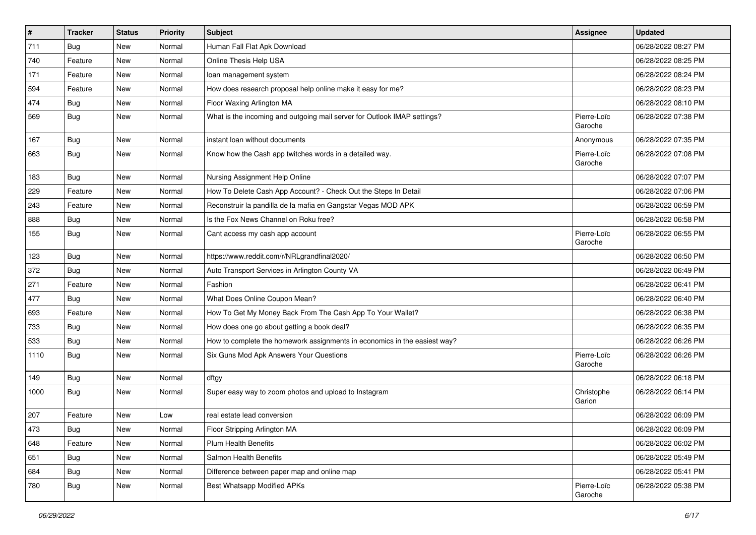| $\vert$ # | <b>Tracker</b> | <b>Status</b> | <b>Priority</b> | <b>Subject</b>                                                            | <b>Assignee</b>        | <b>Updated</b>      |
|-----------|----------------|---------------|-----------------|---------------------------------------------------------------------------|------------------------|---------------------|
| 711       | <b>Bug</b>     | New           | Normal          | Human Fall Flat Apk Download                                              |                        | 06/28/2022 08:27 PM |
| 740       | Feature        | New           | Normal          | Online Thesis Help USA                                                    |                        | 06/28/2022 08:25 PM |
| 171       | Feature        | New           | Normal          | loan management system                                                    |                        | 06/28/2022 08:24 PM |
| 594       | Feature        | New           | Normal          | How does research proposal help online make it easy for me?               |                        | 06/28/2022 08:23 PM |
| 474       | <b>Bug</b>     | New           | Normal          | Floor Waxing Arlington MA                                                 |                        | 06/28/2022 08:10 PM |
| 569       | <b>Bug</b>     | New           | Normal          | What is the incoming and outgoing mail server for Outlook IMAP settings?  | Pierre-Loïc<br>Garoche | 06/28/2022 07:38 PM |
| 167       | Bug            | New           | Normal          | instant loan without documents                                            | Anonymous              | 06/28/2022 07:35 PM |
| 663       | Bug            | New           | Normal          | Know how the Cash app twitches words in a detailed way.                   | Pierre-Loïc<br>Garoche | 06/28/2022 07:08 PM |
| 183       | <b>Bug</b>     | New           | Normal          | Nursing Assignment Help Online                                            |                        | 06/28/2022 07:07 PM |
| 229       | Feature        | <b>New</b>    | Normal          | How To Delete Cash App Account? - Check Out the Steps In Detail           |                        | 06/28/2022 07:06 PM |
| 243       | Feature        | New           | Normal          | Reconstruir la pandilla de la mafia en Gangstar Vegas MOD APK             |                        | 06/28/2022 06:59 PM |
| 888       | <b>Bug</b>     | New           | Normal          | Is the Fox News Channel on Roku free?                                     |                        | 06/28/2022 06:58 PM |
| 155       | <b>Bug</b>     | New           | Normal          | Cant access my cash app account                                           | Pierre-Loïc<br>Garoche | 06/28/2022 06:55 PM |
| 123       | Bug            | New           | Normal          | https://www.reddit.com/r/NRLgrandfinal2020/                               |                        | 06/28/2022 06:50 PM |
| 372       | Bug            | New           | Normal          | Auto Transport Services in Arlington County VA                            |                        | 06/28/2022 06:49 PM |
| 271       | Feature        | New           | Normal          | Fashion                                                                   |                        | 06/28/2022 06:41 PM |
| 477       | <b>Bug</b>     | New           | Normal          | What Does Online Coupon Mean?                                             |                        | 06/28/2022 06:40 PM |
| 693       | Feature        | New           | Normal          | How To Get My Money Back From The Cash App To Your Wallet?                |                        | 06/28/2022 06:38 PM |
| 733       | Bug            | New           | Normal          | How does one go about getting a book deal?                                |                        | 06/28/2022 06:35 PM |
| 533       | Bug            | New           | Normal          | How to complete the homework assignments in economics in the easiest way? |                        | 06/28/2022 06:26 PM |
| 1110      | <b>Bug</b>     | New           | Normal          | Six Guns Mod Apk Answers Your Questions                                   | Pierre-Loïc<br>Garoche | 06/28/2022 06:26 PM |
| 149       | Bug            | New           | Normal          | dftgy                                                                     |                        | 06/28/2022 06:18 PM |
| 1000      | Bug            | New           | Normal          | Super easy way to zoom photos and upload to Instagram                     | Christophe<br>Garion   | 06/28/2022 06:14 PM |
| 207       | Feature        | New           | Low             | real estate lead conversion                                               |                        | 06/28/2022 06:09 PM |
| 473       | Bug            | New           | Normal          | Floor Stripping Arlington MA                                              |                        | 06/28/2022 06:09 PM |
| 648       | Feature        | New           | Normal          | Plum Health Benefits                                                      |                        | 06/28/2022 06:02 PM |
| 651       | Bug            | New           | Normal          | Salmon Health Benefits                                                    |                        | 06/28/2022 05:49 PM |
| 684       | <b>Bug</b>     | New           | Normal          | Difference between paper map and online map                               |                        | 06/28/2022 05:41 PM |
| 780       | <b>Bug</b>     | New           | Normal          | <b>Best Whatsapp Modified APKs</b>                                        | Pierre-Loïc<br>Garoche | 06/28/2022 05:38 PM |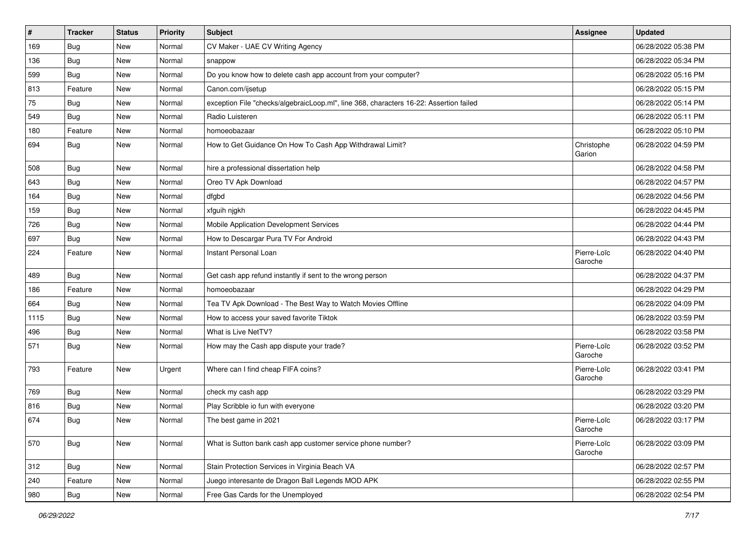| $\vert$ # | <b>Tracker</b> | <b>Status</b> | <b>Priority</b> | <b>Subject</b>                                                                         | <b>Assignee</b>        | <b>Updated</b>      |
|-----------|----------------|---------------|-----------------|----------------------------------------------------------------------------------------|------------------------|---------------------|
| 169       | <b>Bug</b>     | New           | Normal          | CV Maker - UAE CV Writing Agency                                                       |                        | 06/28/2022 05:38 PM |
| 136       | Bug            | New           | Normal          | snappow                                                                                |                        | 06/28/2022 05:34 PM |
| 599       | Bug            | New           | Normal          | Do you know how to delete cash app account from your computer?                         |                        | 06/28/2022 05:16 PM |
| 813       | Feature        | New           | Normal          | Canon.com/ijsetup                                                                      |                        | 06/28/2022 05:15 PM |
| 75        | Bug            | New           | Normal          | exception File "checks/algebraicLoop.ml", line 368, characters 16-22: Assertion failed |                        | 06/28/2022 05:14 PM |
| 549       | <b>Bug</b>     | New           | Normal          | Radio Luisteren                                                                        |                        | 06/28/2022 05:11 PM |
| 180       | Feature        | New           | Normal          | homoeobazaar                                                                           |                        | 06/28/2022 05:10 PM |
| 694       | <b>Bug</b>     | New           | Normal          | How to Get Guidance On How To Cash App Withdrawal Limit?                               | Christophe<br>Garion   | 06/28/2022 04:59 PM |
| 508       | Bug            | New           | Normal          | hire a professional dissertation help                                                  |                        | 06/28/2022 04:58 PM |
| 643       | Bug            | New           | Normal          | Oreo TV Apk Download                                                                   |                        | 06/28/2022 04:57 PM |
| 164       | <b>Bug</b>     | New           | Normal          | dfgbd                                                                                  |                        | 06/28/2022 04:56 PM |
| 159       | Bug            | New           | Normal          | xfguih njgkh                                                                           |                        | 06/28/2022 04:45 PM |
| 726       | Bug            | New           | Normal          | Mobile Application Development Services                                                |                        | 06/28/2022 04:44 PM |
| 697       | <b>Bug</b>     | New           | Normal          | How to Descargar Pura TV For Android                                                   |                        | 06/28/2022 04:43 PM |
| 224       | Feature        | New           | Normal          | Instant Personal Loan                                                                  | Pierre-Loïc<br>Garoche | 06/28/2022 04:40 PM |
| 489       | <b>Bug</b>     | New           | Normal          | Get cash app refund instantly if sent to the wrong person                              |                        | 06/28/2022 04:37 PM |
| 186       | Feature        | New           | Normal          | homoeobazaar                                                                           |                        | 06/28/2022 04:29 PM |
| 664       | <b>Bug</b>     | New           | Normal          | Tea TV Apk Download - The Best Way to Watch Movies Offline                             |                        | 06/28/2022 04:09 PM |
| 1115      | Bug            | New           | Normal          | How to access your saved favorite Tiktok                                               |                        | 06/28/2022 03:59 PM |
| 496       | Bug            | New           | Normal          | What is Live NetTV?                                                                    |                        | 06/28/2022 03:58 PM |
| 571       | <b>Bug</b>     | New           | Normal          | How may the Cash app dispute your trade?                                               | Pierre-Loïc<br>Garoche | 06/28/2022 03:52 PM |
| 793       | Feature        | New           | Urgent          | Where can I find cheap FIFA coins?                                                     | Pierre-Loïc<br>Garoche | 06/28/2022 03:41 PM |
| 769       | <b>Bug</b>     | New           | Normal          | check my cash app                                                                      |                        | 06/28/2022 03:29 PM |
| 816       | <b>Bug</b>     | New           | Normal          | Play Scribble io fun with everyone                                                     |                        | 06/28/2022 03:20 PM |
| 674       | Bug            | New           | Normal          | The best game in 2021                                                                  | Pierre-Loïc<br>Garoche | 06/28/2022 03:17 PM |
| 570       | <b>Bug</b>     | New           | Normal          | What is Sutton bank cash app customer service phone number?                            | Pierre-Loïc<br>Garoche | 06/28/2022 03:09 PM |
| 312       | <b>Bug</b>     | New           | Normal          | Stain Protection Services in Virginia Beach VA                                         |                        | 06/28/2022 02:57 PM |
| 240       | Feature        | New           | Normal          | Juego interesante de Dragon Ball Legends MOD APK                                       |                        | 06/28/2022 02:55 PM |
| 980       | <b>Bug</b>     | New           | Normal          | Free Gas Cards for the Unemployed                                                      |                        | 06/28/2022 02:54 PM |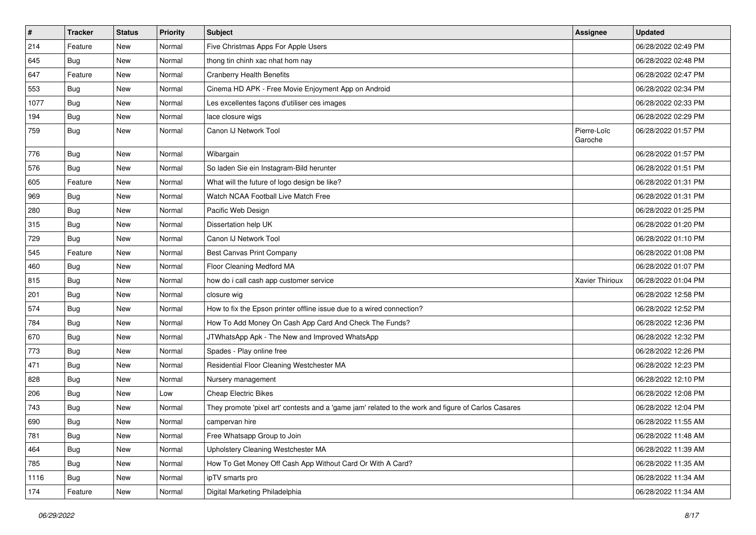| $\vert$ # | Tracker    | <b>Status</b> | <b>Priority</b> | Subject                                                                                             | <b>Assignee</b>        | <b>Updated</b>      |
|-----------|------------|---------------|-----------------|-----------------------------------------------------------------------------------------------------|------------------------|---------------------|
| 214       | Feature    | New           | Normal          | Five Christmas Apps For Apple Users                                                                 |                        | 06/28/2022 02:49 PM |
| 645       | <b>Bug</b> | New           | Normal          | thong tin chinh xac nhat hom nay                                                                    |                        | 06/28/2022 02:48 PM |
| 647       | Feature    | New           | Normal          | <b>Cranberry Health Benefits</b>                                                                    |                        | 06/28/2022 02:47 PM |
| 553       | <b>Bug</b> | New           | Normal          | Cinema HD APK - Free Movie Enjoyment App on Android                                                 |                        | 06/28/2022 02:34 PM |
| 1077      | Bug        | New           | Normal          | Les excellentes façons d'utiliser ces images                                                        |                        | 06/28/2022 02:33 PM |
| 194       | Bug        | New           | Normal          | lace closure wigs                                                                                   |                        | 06/28/2022 02:29 PM |
| 759       | <b>Bug</b> | New           | Normal          | Canon IJ Network Tool                                                                               | Pierre-Loïc<br>Garoche | 06/28/2022 01:57 PM |
| 776       | <b>Bug</b> | New           | Normal          | Wibargain                                                                                           |                        | 06/28/2022 01:57 PM |
| 576       | Bug        | New           | Normal          | So laden Sie ein Instagram-Bild herunter                                                            |                        | 06/28/2022 01:51 PM |
| 605       | Feature    | New           | Normal          | What will the future of logo design be like?                                                        |                        | 06/28/2022 01:31 PM |
| 969       | Bug        | New           | Normal          | Watch NCAA Football Live Match Free                                                                 |                        | 06/28/2022 01:31 PM |
| 280       | Bug        | New           | Normal          | Pacific Web Design                                                                                  |                        | 06/28/2022 01:25 PM |
| 315       | <b>Bug</b> | New           | Normal          | Dissertation help UK                                                                                |                        | 06/28/2022 01:20 PM |
| 729       | <b>Bug</b> | New           | Normal          | Canon IJ Network Tool                                                                               |                        | 06/28/2022 01:10 PM |
| 545       | Feature    | New           | Normal          | Best Canvas Print Company                                                                           |                        | 06/28/2022 01:08 PM |
| 460       | <b>Bug</b> | New           | Normal          | Floor Cleaning Medford MA                                                                           |                        | 06/28/2022 01:07 PM |
| 815       | Bug        | New           | Normal          | how do i call cash app customer service                                                             | Xavier Thirioux        | 06/28/2022 01:04 PM |
| 201       | Bug        | New           | Normal          | closure wig                                                                                         |                        | 06/28/2022 12:58 PM |
| 574       | <b>Bug</b> | New           | Normal          | How to fix the Epson printer offline issue due to a wired connection?                               |                        | 06/28/2022 12:52 PM |
| 784       | Bug        | New           | Normal          | How To Add Money On Cash App Card And Check The Funds?                                              |                        | 06/28/2022 12:36 PM |
| 670       | Bug        | New           | Normal          | JTWhatsApp Apk - The New and Improved WhatsApp                                                      |                        | 06/28/2022 12:32 PM |
| 773       | <b>Bug</b> | New           | Normal          | Spades - Play online free                                                                           |                        | 06/28/2022 12:26 PM |
| 471       | <b>Bug</b> | New           | Normal          | Residential Floor Cleaning Westchester MA                                                           |                        | 06/28/2022 12:23 PM |
| 828       | Bug        | New           | Normal          | Nursery management                                                                                  |                        | 06/28/2022 12:10 PM |
| 206       | <b>Bug</b> | New           | Low             | Cheap Electric Bikes                                                                                |                        | 06/28/2022 12:08 PM |
| 743       | Bug        | New           | Normal          | They promote 'pixel art' contests and a 'game jam' related to the work and figure of Carlos Casares |                        | 06/28/2022 12:04 PM |
| 690       | <b>Bug</b> | New           | Normal          | campervan hire                                                                                      |                        | 06/28/2022 11:55 AM |
| 781       | <b>Bug</b> | New           | Normal          | Free Whatsapp Group to Join                                                                         |                        | 06/28/2022 11:48 AM |
| 464       | <b>Bug</b> | New           | Normal          | Upholstery Cleaning Westchester MA                                                                  |                        | 06/28/2022 11:39 AM |
| 785       | Bug        | New           | Normal          | How To Get Money Off Cash App Without Card Or With A Card?                                          |                        | 06/28/2022 11:35 AM |
| 1116      | Bug        | New           | Normal          | ipTV smarts pro                                                                                     |                        | 06/28/2022 11:34 AM |
| 174       | Feature    | New           | Normal          | Digital Marketing Philadelphia                                                                      |                        | 06/28/2022 11:34 AM |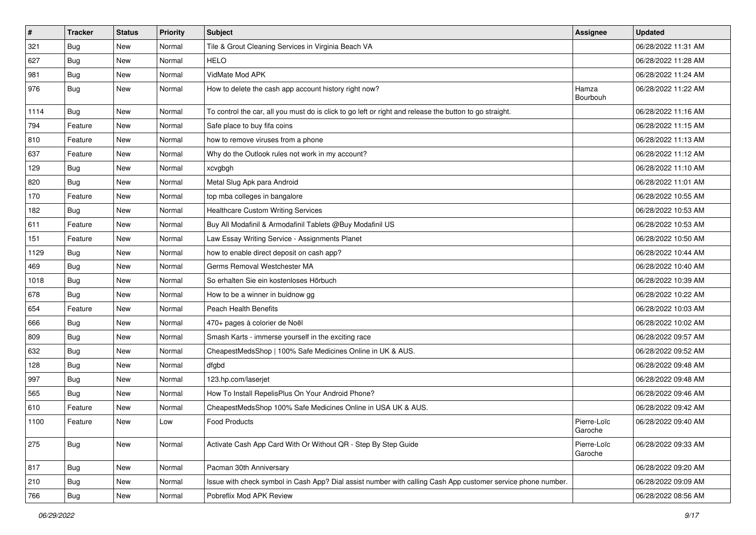| $\sharp$ | <b>Tracker</b> | <b>Status</b> | <b>Priority</b> | <b>Subject</b>                                                                                               | <b>Assignee</b>        | <b>Updated</b>      |
|----------|----------------|---------------|-----------------|--------------------------------------------------------------------------------------------------------------|------------------------|---------------------|
| 321      | <b>Bug</b>     | New           | Normal          | Tile & Grout Cleaning Services in Virginia Beach VA                                                          |                        | 06/28/2022 11:31 AM |
| 627      | Bug            | <b>New</b>    | Normal          | <b>HELO</b>                                                                                                  |                        | 06/28/2022 11:28 AM |
| 981      | <b>Bug</b>     | New           | Normal          | VidMate Mod APK                                                                                              |                        | 06/28/2022 11:24 AM |
| 976      | <b>Bug</b>     | New           | Normal          | How to delete the cash app account history right now?                                                        | Hamza<br>Bourbouh      | 06/28/2022 11:22 AM |
| 1114     | <b>Bug</b>     | New           | Normal          | To control the car, all you must do is click to go left or right and release the button to go straight.      |                        | 06/28/2022 11:16 AM |
| 794      | Feature        | <b>New</b>    | Normal          | Safe place to buy fifa coins                                                                                 |                        | 06/28/2022 11:15 AM |
| 810      | Feature        | New           | Normal          | how to remove viruses from a phone                                                                           |                        | 06/28/2022 11:13 AM |
| 637      | Feature        | New           | Normal          | Why do the Outlook rules not work in my account?                                                             |                        | 06/28/2022 11:12 AM |
| 129      | <b>Bug</b>     | New           | Normal          | xcvgbgh                                                                                                      |                        | 06/28/2022 11:10 AM |
| 820      | Bug            | New           | Normal          | Metal Slug Apk para Android                                                                                  |                        | 06/28/2022 11:01 AM |
| 170      | Feature        | New           | Normal          | top mba colleges in bangalore                                                                                |                        | 06/28/2022 10:55 AM |
| 182      | <b>Bug</b>     | <b>New</b>    | Normal          | <b>Healthcare Custom Writing Services</b>                                                                    |                        | 06/28/2022 10:53 AM |
| 611      | Feature        | New           | Normal          | Buy All Modafinil & Armodafinil Tablets @Buy Modafinil US                                                    |                        | 06/28/2022 10:53 AM |
| 151      | Feature        | New           | Normal          | Law Essay Writing Service - Assignments Planet                                                               |                        | 06/28/2022 10:50 AM |
| 1129     | <b>Bug</b>     | New           | Normal          | how to enable direct deposit on cash app?                                                                    |                        | 06/28/2022 10:44 AM |
| 469      | Bug            | New           | Normal          | Germs Removal Westchester MA                                                                                 |                        | 06/28/2022 10:40 AM |
| 1018     | Bug            | New           | Normal          | So erhalten Sie ein kostenloses Hörbuch                                                                      |                        | 06/28/2022 10:39 AM |
| 678      | <b>Bug</b>     | New           | Normal          | How to be a winner in buidnow gg                                                                             |                        | 06/28/2022 10:22 AM |
| 654      | Feature        | New           | Normal          | <b>Peach Health Benefits</b>                                                                                 |                        | 06/28/2022 10:03 AM |
| 666      | <b>Bug</b>     | New           | Normal          | 470+ pages à colorier de Noël                                                                                |                        | 06/28/2022 10:02 AM |
| 809      | <b>Bug</b>     | New           | Normal          | Smash Karts - immerse yourself in the exciting race                                                          |                        | 06/28/2022 09:57 AM |
| 632      | Bug            | New           | Normal          | CheapestMedsShop   100% Safe Medicines Online in UK & AUS.                                                   |                        | 06/28/2022 09:52 AM |
| 128      | <b>Bug</b>     | New           | Normal          | dfgbd                                                                                                        |                        | 06/28/2022 09:48 AM |
| 997      | Bug            | New           | Normal          | 123.hp.com/laserjet                                                                                          |                        | 06/28/2022 09:48 AM |
| 565      | <b>Bug</b>     | New           | Normal          | How To Install RepelisPlus On Your Android Phone?                                                            |                        | 06/28/2022 09:46 AM |
| 610      | Feature        | New           | Normal          | CheapestMedsShop 100% Safe Medicines Online in USA UK & AUS.                                                 |                        | 06/28/2022 09:42 AM |
| 1100     | Feature        | New           | Low             | <b>Food Products</b>                                                                                         | Pierre-Loïc<br>Garoche | 06/28/2022 09:40 AM |
| 275      | Bug            | New           | Normal          | Activate Cash App Card With Or Without QR - Step By Step Guide                                               | Pierre-Loïc<br>Garoche | 06/28/2022 09:33 AM |
| 817      | <b>Bug</b>     | New           | Normal          | Pacman 30th Anniversary                                                                                      |                        | 06/28/2022 09:20 AM |
| 210      | Bug            | New           | Normal          | Issue with check symbol in Cash App? Dial assist number with calling Cash App customer service phone number. |                        | 06/28/2022 09:09 AM |
| 766      | <b>Bug</b>     | New           | Normal          | Pobreflix Mod APK Review                                                                                     |                        | 06/28/2022 08:56 AM |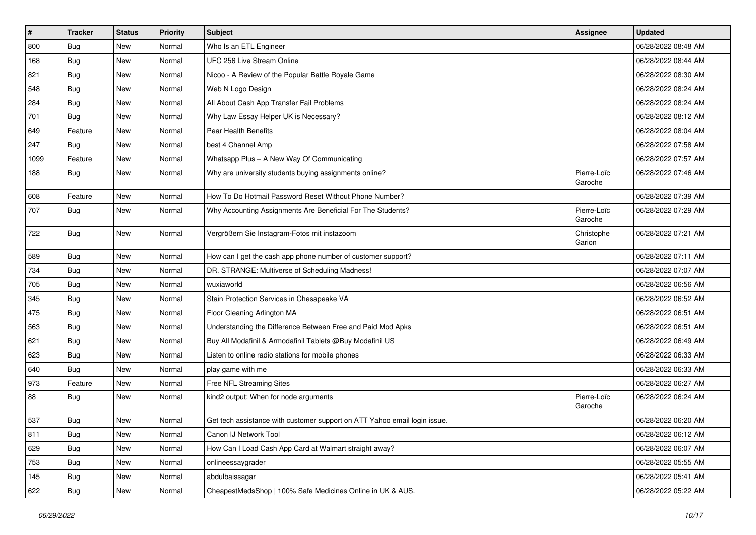| $\vert$ # | <b>Tracker</b> | <b>Status</b> | <b>Priority</b> | Subject                                                                   | <b>Assignee</b>        | <b>Updated</b>      |
|-----------|----------------|---------------|-----------------|---------------------------------------------------------------------------|------------------------|---------------------|
| 800       | <b>Bug</b>     | New           | Normal          | Who Is an ETL Engineer                                                    |                        | 06/28/2022 08:48 AM |
| 168       | Bug            | New           | Normal          | UFC 256 Live Stream Online                                                |                        | 06/28/2022 08:44 AM |
| 821       | Bug            | New           | Normal          | Nicoo - A Review of the Popular Battle Royale Game                        |                        | 06/28/2022 08:30 AM |
| 548       | <b>Bug</b>     | New           | Normal          | Web N Logo Design                                                         |                        | 06/28/2022 08:24 AM |
| 284       | Bug            | New           | Normal          | All About Cash App Transfer Fail Problems                                 |                        | 06/28/2022 08:24 AM |
| 701       | Bug            | New           | Normal          | Why Law Essay Helper UK is Necessary?                                     |                        | 06/28/2022 08:12 AM |
| 649       | Feature        | New           | Normal          | Pear Health Benefits                                                      |                        | 06/28/2022 08:04 AM |
| 247       | Bug            | New           | Normal          | best 4 Channel Amp                                                        |                        | 06/28/2022 07:58 AM |
| 1099      | Feature        | New           | Normal          | Whatsapp Plus - A New Way Of Communicating                                |                        | 06/28/2022 07:57 AM |
| 188       | <b>Bug</b>     | New           | Normal          | Why are university students buying assignments online?                    | Pierre-Loïc<br>Garoche | 06/28/2022 07:46 AM |
| 608       | Feature        | <b>New</b>    | Normal          | How To Do Hotmail Password Reset Without Phone Number?                    |                        | 06/28/2022 07:39 AM |
| 707       | Bug            | New           | Normal          | Why Accounting Assignments Are Beneficial For The Students?               | Pierre-Loïc<br>Garoche | 06/28/2022 07:29 AM |
| 722       | Bug            | New           | Normal          | Vergrößern Sie Instagram-Fotos mit instazoom                              | Christophe<br>Garion   | 06/28/2022 07:21 AM |
| 589       | Bug            | New           | Normal          | How can I get the cash app phone number of customer support?              |                        | 06/28/2022 07:11 AM |
| 734       | Bug            | New           | Normal          | DR. STRANGE: Multiverse of Scheduling Madness!                            |                        | 06/28/2022 07:07 AM |
| 705       | Bug            | New           | Normal          | wuxiaworld                                                                |                        | 06/28/2022 06:56 AM |
| 345       | <b>Bug</b>     | New           | Normal          | Stain Protection Services in Chesapeake VA                                |                        | 06/28/2022 06:52 AM |
| 475       | Bug            | New           | Normal          | Floor Cleaning Arlington MA                                               |                        | 06/28/2022 06:51 AM |
| 563       | Bug            | New           | Normal          | Understanding the Difference Between Free and Paid Mod Apks               |                        | 06/28/2022 06:51 AM |
| 621       | Bug            | New           | Normal          | Buy All Modafinil & Armodafinil Tablets @Buy Modafinil US                 |                        | 06/28/2022 06:49 AM |
| 623       | <b>Bug</b>     | New           | Normal          | Listen to online radio stations for mobile phones                         |                        | 06/28/2022 06:33 AM |
| 640       | <b>Bug</b>     | New           | Normal          | play game with me                                                         |                        | 06/28/2022 06:33 AM |
| 973       | Feature        | New           | Normal          | Free NFL Streaming Sites                                                  |                        | 06/28/2022 06:27 AM |
| 88        | <b>Bug</b>     | New           | Normal          | kind2 output: When for node arguments                                     | Pierre-Loïc<br>Garoche | 06/28/2022 06:24 AM |
| 537       | Bug            | New           | Normal          | Get tech assistance with customer support on ATT Yahoo email login issue. |                        | 06/28/2022 06:20 AM |
| 811       | <b>Bug</b>     | New           | Normal          | Canon IJ Network Tool                                                     |                        | 06/28/2022 06:12 AM |
| 629       | Bug            | New           | Normal          | How Can I Load Cash App Card at Walmart straight away?                    |                        | 06/28/2022 06:07 AM |
| 753       | <b>Bug</b>     | New           | Normal          | onlineessaygrader                                                         |                        | 06/28/2022 05:55 AM |
| 145       | <b>Bug</b>     | New           | Normal          | abdulbaissagar                                                            |                        | 06/28/2022 05:41 AM |
| 622       | <b>Bug</b>     | New           | Normal          | CheapestMedsShop   100% Safe Medicines Online in UK & AUS.                |                        | 06/28/2022 05:22 AM |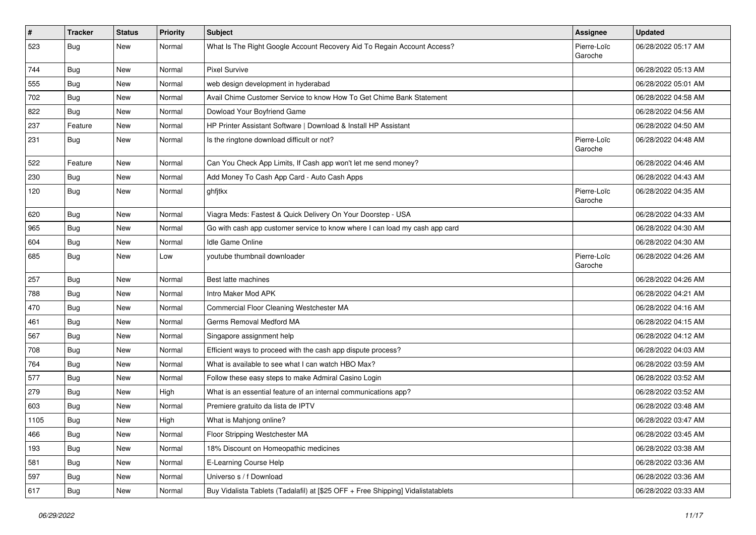| $\vert$ # | <b>Tracker</b> | <b>Status</b> | Priority | <b>Subject</b>                                                                   | <b>Assignee</b>        | <b>Updated</b>      |
|-----------|----------------|---------------|----------|----------------------------------------------------------------------------------|------------------------|---------------------|
| 523       | <b>Bug</b>     | New           | Normal   | What Is The Right Google Account Recovery Aid To Regain Account Access?          | Pierre-Loïc<br>Garoche | 06/28/2022 05:17 AM |
| 744       | Bug            | New           | Normal   | Pixel Survive                                                                    |                        | 06/28/2022 05:13 AM |
| 555       | Bug            | New           | Normal   | web design development in hyderabad                                              |                        | 06/28/2022 05:01 AM |
| 702       | Bug            | New           | Normal   | Avail Chime Customer Service to know How To Get Chime Bank Statement             |                        | 06/28/2022 04:58 AM |
| 822       | Bug            | New           | Normal   | Dowload Your Boyfriend Game                                                      |                        | 06/28/2022 04:56 AM |
| 237       | Feature        | New           | Normal   | HP Printer Assistant Software   Download & Install HP Assistant                  |                        | 06/28/2022 04:50 AM |
| 231       | <b>Bug</b>     | <b>New</b>    | Normal   | Is the ringtone download difficult or not?                                       | Pierre-Loïc<br>Garoche | 06/28/2022 04:48 AM |
| 522       | Feature        | <b>New</b>    | Normal   | Can You Check App Limits, If Cash app won't let me send money?                   |                        | 06/28/2022 04:46 AM |
| 230       | Bug            | New           | Normal   | Add Money To Cash App Card - Auto Cash Apps                                      |                        | 06/28/2022 04:43 AM |
| 120       | <b>Bug</b>     | New           | Normal   | ghfjtkx                                                                          | Pierre-Loïc<br>Garoche | 06/28/2022 04:35 AM |
| 620       | <b>Bug</b>     | New           | Normal   | Viagra Meds: Fastest & Quick Delivery On Your Doorstep - USA                     |                        | 06/28/2022 04:33 AM |
| 965       | Bug            | New           | Normal   | Go with cash app customer service to know where I can load my cash app card      |                        | 06/28/2022 04:30 AM |
| 604       | Bug            | <b>New</b>    | Normal   | <b>Idle Game Online</b>                                                          |                        | 06/28/2022 04:30 AM |
| 685       | <b>Bug</b>     | New           | Low      | youtube thumbnail downloader                                                     | Pierre-Loïc<br>Garoche | 06/28/2022 04:26 AM |
| 257       | Bug            | New           | Normal   | Best latte machines                                                              |                        | 06/28/2022 04:26 AM |
| 788       | <b>Bug</b>     | <b>New</b>    | Normal   | Intro Maker Mod APK                                                              |                        | 06/28/2022 04:21 AM |
| 470       | Bug            | New           | Normal   | Commercial Floor Cleaning Westchester MA                                         |                        | 06/28/2022 04:16 AM |
| 461       | <b>Bug</b>     | New           | Normal   | Germs Removal Medford MA                                                         |                        | 06/28/2022 04:15 AM |
| 567       | <b>Bug</b>     | New           | Normal   | Singapore assignment help                                                        |                        | 06/28/2022 04:12 AM |
| 708       | Bug            | New           | Normal   | Efficient ways to proceed with the cash app dispute process?                     |                        | 06/28/2022 04:03 AM |
| 764       | <b>Bug</b>     | New           | Normal   | What is available to see what I can watch HBO Max?                               |                        | 06/28/2022 03:59 AM |
| 577       | Bug            | New           | Normal   | Follow these easy steps to make Admiral Casino Login                             |                        | 06/28/2022 03:52 AM |
| 279       | <b>Bug</b>     | New           | High     | What is an essential feature of an internal communications app?                  |                        | 06/28/2022 03:52 AM |
| 603       | Bug            | New           | Normal   | Premiere gratuito da lista de IPTV                                               |                        | 06/28/2022 03:48 AM |
| 1105      | Bug            | New           | High     | What is Mahjong online?                                                          |                        | 06/28/2022 03:47 AM |
| 466       | <b>Bug</b>     | New           | Normal   | Floor Stripping Westchester MA                                                   |                        | 06/28/2022 03:45 AM |
| 193       | <b>Bug</b>     | New           | Normal   | 18% Discount on Homeopathic medicines                                            |                        | 06/28/2022 03:38 AM |
| 581       | <b>Bug</b>     | New           | Normal   | E-Learning Course Help                                                           |                        | 06/28/2022 03:36 AM |
| 597       | Bug            | New           | Normal   | Universo s / f Download                                                          |                        | 06/28/2022 03:36 AM |
| 617       | <b>Bug</b>     | New           | Normal   | Buy Vidalista Tablets (Tadalafil) at [\$25 OFF + Free Shipping] Vidalistatablets |                        | 06/28/2022 03:33 AM |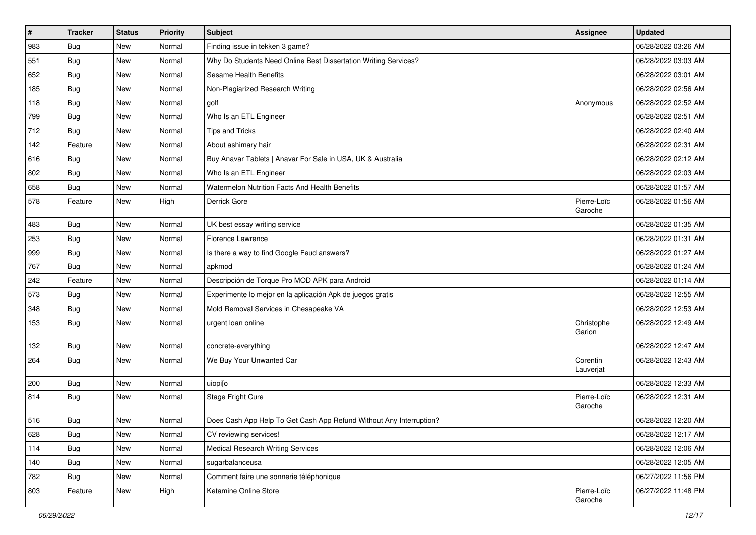| #   | <b>Tracker</b> | <b>Status</b> | Priority | <b>Subject</b>                                                      | <b>Assignee</b>        | <b>Updated</b>      |
|-----|----------------|---------------|----------|---------------------------------------------------------------------|------------------------|---------------------|
| 983 | <b>Bug</b>     | New           | Normal   | Finding issue in tekken 3 game?                                     |                        | 06/28/2022 03:26 AM |
| 551 | Bug            | New           | Normal   | Why Do Students Need Online Best Dissertation Writing Services?     |                        | 06/28/2022 03:03 AM |
| 652 | Bug            | New           | Normal   | Sesame Health Benefits                                              |                        | 06/28/2022 03:01 AM |
| 185 | Bug            | New           | Normal   | Non-Plagiarized Research Writing                                    |                        | 06/28/2022 02:56 AM |
| 118 | Bug            | New           | Normal   | golf                                                                | Anonymous              | 06/28/2022 02:52 AM |
| 799 | <b>Bug</b>     | New           | Normal   | Who Is an ETL Engineer                                              |                        | 06/28/2022 02:51 AM |
| 712 | <b>Bug</b>     | New           | Normal   | Tips and Tricks                                                     |                        | 06/28/2022 02:40 AM |
| 142 | Feature        | New           | Normal   | About ashimary hair                                                 |                        | 06/28/2022 02:31 AM |
| 616 | Bug            | New           | Normal   | Buy Anavar Tablets   Anavar For Sale in USA, UK & Australia         |                        | 06/28/2022 02:12 AM |
| 802 | Bug            | New           | Normal   | Who Is an ETL Engineer                                              |                        | 06/28/2022 02:03 AM |
| 658 | Bug            | New           | Normal   | Watermelon Nutrition Facts And Health Benefits                      |                        | 06/28/2022 01:57 AM |
| 578 | Feature        | New           | High     | Derrick Gore                                                        | Pierre-Loïc<br>Garoche | 06/28/2022 01:56 AM |
| 483 | <b>Bug</b>     | New           | Normal   | UK best essay writing service                                       |                        | 06/28/2022 01:35 AM |
| 253 | <b>Bug</b>     | New           | Normal   | Florence Lawrence                                                   |                        | 06/28/2022 01:31 AM |
| 999 | Bug            | New           | Normal   | Is there a way to find Google Feud answers?                         |                        | 06/28/2022 01:27 AM |
| 767 | Bug            | New           | Normal   | apkmod                                                              |                        | 06/28/2022 01:24 AM |
| 242 | Feature        | New           | Normal   | Descripción de Torque Pro MOD APK para Android                      |                        | 06/28/2022 01:14 AM |
| 573 | Bug            | New           | Normal   | Experimente lo mejor en la aplicación Apk de juegos gratis          |                        | 06/28/2022 12:55 AM |
| 348 | Bug            | New           | Normal   | Mold Removal Services in Chesapeake VA                              |                        | 06/28/2022 12:53 AM |
| 153 | <b>Bug</b>     | New           | Normal   | urgent loan online                                                  | Christophe<br>Garion   | 06/28/2022 12:49 AM |
| 132 | <b>Bug</b>     | New           | Normal   | concrete-everything                                                 |                        | 06/28/2022 12:47 AM |
| 264 | Bug            | New           | Normal   | We Buy Your Unwanted Car                                            | Corentin<br>Lauverjat  | 06/28/2022 12:43 AM |
| 200 | Bug            | New           | Normal   | uiopi[o                                                             |                        | 06/28/2022 12:33 AM |
| 814 | Bug            | New           | Normal   | Stage Fright Cure                                                   | Pierre-Loïc<br>Garoche | 06/28/2022 12:31 AM |
| 516 | Bug            | New           | Normal   | Does Cash App Help To Get Cash App Refund Without Any Interruption? |                        | 06/28/2022 12:20 AM |
| 628 | <b>Bug</b>     | New           | Normal   | CV reviewing services!                                              |                        | 06/28/2022 12:17 AM |
| 114 | Bug            | New           | Normal   | <b>Medical Research Writing Services</b>                            |                        | 06/28/2022 12:06 AM |
| 140 | Bug            | New           | Normal   | sugarbalanceusa                                                     |                        | 06/28/2022 12:05 AM |
| 782 | Bug            | New           | Normal   | Comment faire une sonnerie téléphonique                             |                        | 06/27/2022 11:56 PM |
| 803 | Feature        | New           | High     | Ketamine Online Store                                               | Pierre-Loïc<br>Garoche | 06/27/2022 11:48 PM |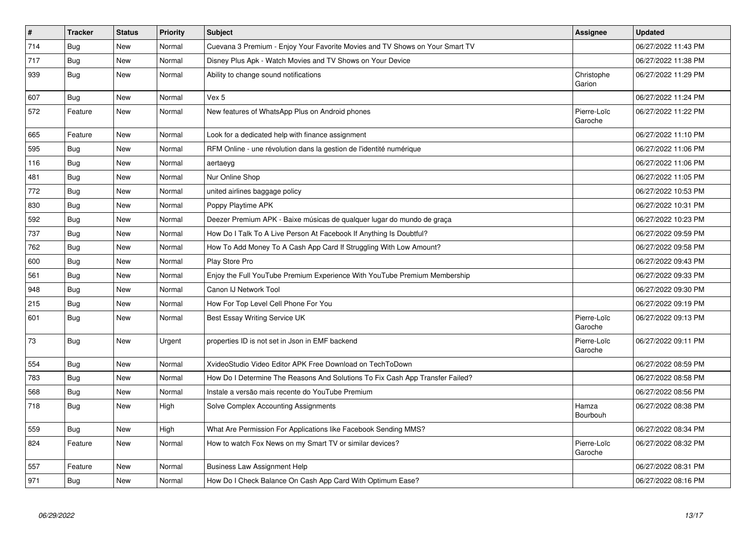| #   | <b>Tracker</b> | <b>Status</b> | <b>Priority</b> | <b>Subject</b>                                                                | Assignee               | <b>Updated</b>      |
|-----|----------------|---------------|-----------------|-------------------------------------------------------------------------------|------------------------|---------------------|
| 714 | Bug            | New           | Normal          | Cuevana 3 Premium - Enjoy Your Favorite Movies and TV Shows on Your Smart TV  |                        | 06/27/2022 11:43 PM |
| 717 | Bug            | New           | Normal          | Disney Plus Apk - Watch Movies and TV Shows on Your Device                    |                        | 06/27/2022 11:38 PM |
| 939 | <b>Bug</b>     | New           | Normal          | Ability to change sound notifications                                         | Christophe<br>Garion   | 06/27/2022 11:29 PM |
| 607 | <b>Bug</b>     | New           | Normal          | Vex 5                                                                         |                        | 06/27/2022 11:24 PM |
| 572 | Feature        | New           | Normal          | New features of WhatsApp Plus on Android phones                               | Pierre-Loïc<br>Garoche | 06/27/2022 11:22 PM |
| 665 | Feature        | New           | Normal          | Look for a dedicated help with finance assignment                             |                        | 06/27/2022 11:10 PM |
| 595 | Bug            | New           | Normal          | RFM Online - une révolution dans la gestion de l'identité numérique           |                        | 06/27/2022 11:06 PM |
| 116 | Bug            | New           | Normal          | aertaeyg                                                                      |                        | 06/27/2022 11:06 PM |
| 481 | <b>Bug</b>     | New           | Normal          | Nur Online Shop                                                               |                        | 06/27/2022 11:05 PM |
| 772 | Bug            | New           | Normal          | united airlines baggage policy                                                |                        | 06/27/2022 10:53 PM |
| 830 | Bug            | New           | Normal          | Poppy Playtime APK                                                            |                        | 06/27/2022 10:31 PM |
| 592 | Bug            | New           | Normal          | Deezer Premium APK - Baixe músicas de qualquer lugar do mundo de graça        |                        | 06/27/2022 10:23 PM |
| 737 | <b>Bug</b>     | <b>New</b>    | Normal          | How Do I Talk To A Live Person At Facebook If Anything Is Doubtful?           |                        | 06/27/2022 09:59 PM |
| 762 | Bug            | New           | Normal          | How To Add Money To A Cash App Card If Struggling With Low Amount?            |                        | 06/27/2022 09:58 PM |
| 600 | <b>Bug</b>     | New           | Normal          | Play Store Pro                                                                |                        | 06/27/2022 09:43 PM |
| 561 | Bug            | <b>New</b>    | Normal          | Enjoy the Full YouTube Premium Experience With YouTube Premium Membership     |                        | 06/27/2022 09:33 PM |
| 948 | <b>Bug</b>     | <b>New</b>    | Normal          | Canon IJ Network Tool                                                         |                        | 06/27/2022 09:30 PM |
| 215 | Bug            | New           | Normal          | How For Top Level Cell Phone For You                                          |                        | 06/27/2022 09:19 PM |
| 601 | <b>Bug</b>     | New           | Normal          | Best Essay Writing Service UK                                                 | Pierre-Loïc<br>Garoche | 06/27/2022 09:13 PM |
| 73  | <b>Bug</b>     | New           | Urgent          | properties ID is not set in Json in EMF backend                               | Pierre-Loïc<br>Garoche | 06/27/2022 09:11 PM |
| 554 | <b>Bug</b>     | <b>New</b>    | Normal          | XvideoStudio Video Editor APK Free Download on TechToDown                     |                        | 06/27/2022 08:59 PM |
| 783 | <b>Bug</b>     | New           | Normal          | How Do I Determine The Reasons And Solutions To Fix Cash App Transfer Failed? |                        | 06/27/2022 08:58 PM |
| 568 | Bug            | New           | Normal          | Instale a versão mais recente do YouTube Premium                              |                        | 06/27/2022 08:56 PM |
| 718 | <b>Bug</b>     | New           | High            | Solve Complex Accounting Assignments                                          | Hamza<br>Bourbouh      | 06/27/2022 08:38 PM |
| 559 | <b>Bug</b>     | New           | High            | What Are Permission For Applications like Facebook Sending MMS?               |                        | 06/27/2022 08:34 PM |
| 824 | Feature        | New           | Normal          | How to watch Fox News on my Smart TV or similar devices?                      | Pierre-Loïc<br>Garoche | 06/27/2022 08:32 PM |
| 557 | Feature        | New           | Normal          | <b>Business Law Assignment Help</b>                                           |                        | 06/27/2022 08:31 PM |
| 971 | <b>Bug</b>     | New           | Normal          | How Do I Check Balance On Cash App Card With Optimum Ease?                    |                        | 06/27/2022 08:16 PM |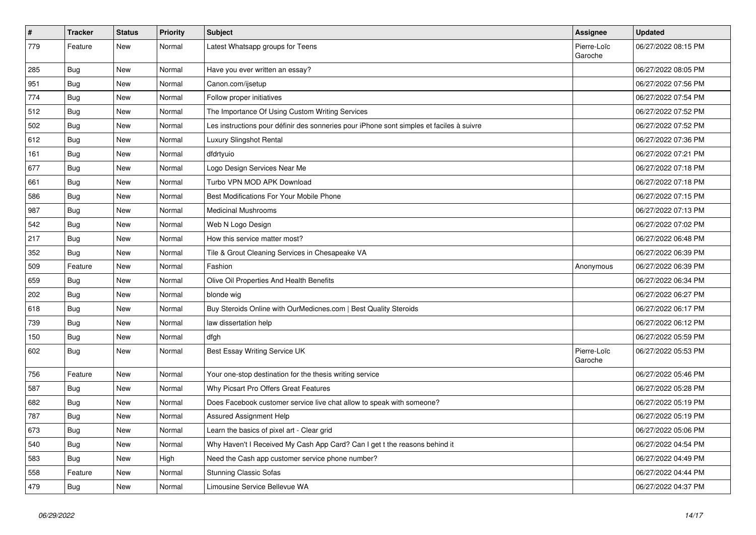| $\vert$ # | <b>Tracker</b> | <b>Status</b> | <b>Priority</b> | <b>Subject</b>                                                                           | <b>Assignee</b>        | <b>Updated</b>      |
|-----------|----------------|---------------|-----------------|------------------------------------------------------------------------------------------|------------------------|---------------------|
| 779       | Feature        | New           | Normal          | Latest Whatsapp groups for Teens                                                         | Pierre-Loïc<br>Garoche | 06/27/2022 08:15 PM |
| 285       | <b>Bug</b>     | New           | Normal          | Have you ever written an essay?                                                          |                        | 06/27/2022 08:05 PM |
| 951       | <b>Bug</b>     | New           | Normal          | Canon.com/ijsetup                                                                        |                        | 06/27/2022 07:56 PM |
| 774       | <b>Bug</b>     | New           | Normal          | Follow proper initiatives                                                                |                        | 06/27/2022 07:54 PM |
| 512       | Bug            | New           | Normal          | The Importance Of Using Custom Writing Services                                          |                        | 06/27/2022 07:52 PM |
| 502       | <b>Bug</b>     | New           | Normal          | Les instructions pour définir des sonneries pour iPhone sont simples et faciles à suivre |                        | 06/27/2022 07:52 PM |
| 612       | Bug            | New           | Normal          | Luxury Slingshot Rental                                                                  |                        | 06/27/2022 07:36 PM |
| 161       | <b>Bug</b>     | New           | Normal          | dfdrtyuio                                                                                |                        | 06/27/2022 07:21 PM |
| 677       | Bug            | New           | Normal          | Logo Design Services Near Me                                                             |                        | 06/27/2022 07:18 PM |
| 661       | Bug            | New           | Normal          | Turbo VPN MOD APK Download                                                               |                        | 06/27/2022 07:18 PM |
| 586       | Bug            | New           | Normal          | Best Modifications For Your Mobile Phone                                                 |                        | 06/27/2022 07:15 PM |
| 987       | <b>Bug</b>     | New           | Normal          | <b>Medicinal Mushrooms</b>                                                               |                        | 06/27/2022 07:13 PM |
| 542       | <b>Bug</b>     | New           | Normal          | Web N Logo Design                                                                        |                        | 06/27/2022 07:02 PM |
| 217       | <b>Bug</b>     | New           | Normal          | How this service matter most?                                                            |                        | 06/27/2022 06:48 PM |
| 352       | <b>Bug</b>     | New           | Normal          | Tile & Grout Cleaning Services in Chesapeake VA                                          |                        | 06/27/2022 06:39 PM |
| 509       | Feature        | New           | Normal          | Fashion                                                                                  | Anonymous              | 06/27/2022 06:39 PM |
| 659       | <b>Bug</b>     | New           | Normal          | Olive Oil Properties And Health Benefits                                                 |                        | 06/27/2022 06:34 PM |
| 202       | Bug            | New           | Normal          | blonde wig                                                                               |                        | 06/27/2022 06:27 PM |
| 618       | <b>Bug</b>     | New           | Normal          | Buy Steroids Online with OurMedicnes.com   Best Quality Steroids                         |                        | 06/27/2022 06:17 PM |
| 739       | <b>Bug</b>     | New           | Normal          | law dissertation help                                                                    |                        | 06/27/2022 06:12 PM |
| 150       | Bug            | New           | Normal          | dfgh                                                                                     |                        | 06/27/2022 05:59 PM |
| 602       | Bug            | New           | Normal          | Best Essay Writing Service UK                                                            | Pierre-Loïc<br>Garoche | 06/27/2022 05:53 PM |
| 756       | Feature        | <b>New</b>    | Normal          | Your one-stop destination for the thesis writing service                                 |                        | 06/27/2022 05:46 PM |
| 587       | <b>Bug</b>     | New           | Normal          | Why Picsart Pro Offers Great Features                                                    |                        | 06/27/2022 05:28 PM |
| 682       | Bug            | New           | Normal          | Does Facebook customer service live chat allow to speak with someone?                    |                        | 06/27/2022 05:19 PM |
| 787       | Bug            | New           | Normal          | <b>Assured Assignment Help</b>                                                           |                        | 06/27/2022 05:19 PM |
| 673       | <b>Bug</b>     | New           | Normal          | Learn the basics of pixel art - Clear grid                                               |                        | 06/27/2022 05:06 PM |
| 540       | <b>Bug</b>     | New           | Normal          | Why Haven't I Received My Cash App Card? Can I get t the reasons behind it               |                        | 06/27/2022 04:54 PM |
| 583       | Bug            | New           | High            | Need the Cash app customer service phone number?                                         |                        | 06/27/2022 04:49 PM |
| 558       | Feature        | New           | Normal          | <b>Stunning Classic Sofas</b>                                                            |                        | 06/27/2022 04:44 PM |
| 479       | Bug            | New           | Normal          | Limousine Service Bellevue WA                                                            |                        | 06/27/2022 04:37 PM |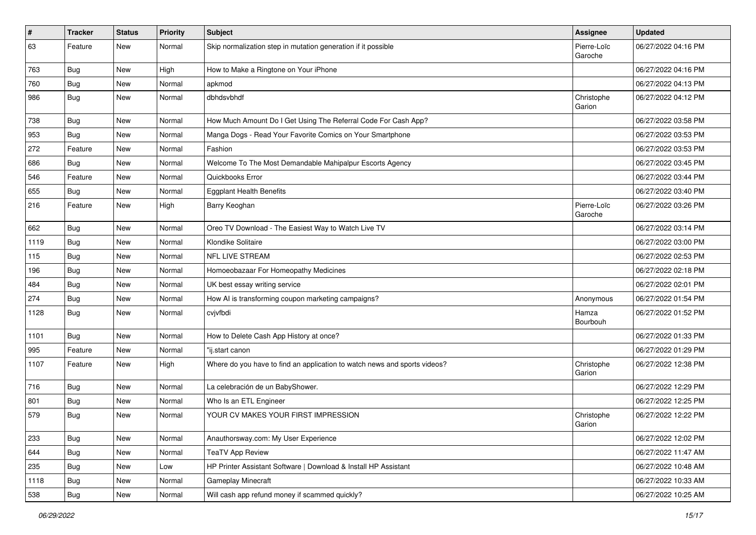| #    | <b>Tracker</b> | <b>Status</b> | <b>Priority</b> | <b>Subject</b>                                                            | Assignee               | <b>Updated</b>      |
|------|----------------|---------------|-----------------|---------------------------------------------------------------------------|------------------------|---------------------|
| 63   | Feature        | New           | Normal          | Skip normalization step in mutation generation if it possible             | Pierre-Loïc<br>Garoche | 06/27/2022 04:16 PM |
| 763  | <b>Bug</b>     | New           | High            | How to Make a Ringtone on Your iPhone                                     |                        | 06/27/2022 04:16 PM |
| 760  | Bug            | New           | Normal          | apkmod                                                                    |                        | 06/27/2022 04:13 PM |
| 986  | <b>Bug</b>     | New           | Normal          | dbhdsvbhdf                                                                | Christophe<br>Garion   | 06/27/2022 04:12 PM |
| 738  | Bug            | <b>New</b>    | Normal          | How Much Amount Do I Get Using The Referral Code For Cash App?            |                        | 06/27/2022 03:58 PM |
| 953  | Bug            | New           | Normal          | Manga Dogs - Read Your Favorite Comics on Your Smartphone                 |                        | 06/27/2022 03:53 PM |
| 272  | Feature        | <b>New</b>    | Normal          | Fashion                                                                   |                        | 06/27/2022 03:53 PM |
| 686  | Bug            | New           | Normal          | Welcome To The Most Demandable Mahipalpur Escorts Agency                  |                        | 06/27/2022 03:45 PM |
| 546  | Feature        | New           | Normal          | Quickbooks Error                                                          |                        | 06/27/2022 03:44 PM |
| 655  | <b>Bug</b>     | New           | Normal          | <b>Eggplant Health Benefits</b>                                           |                        | 06/27/2022 03:40 PM |
| 216  | Feature        | New           | High            | Barry Keoghan                                                             | Pierre-Loïc<br>Garoche | 06/27/2022 03:26 PM |
| 662  | Bug            | <b>New</b>    | Normal          | Oreo TV Download - The Easiest Way to Watch Live TV                       |                        | 06/27/2022 03:14 PM |
| 1119 | <b>Bug</b>     | New           | Normal          | Klondike Solitaire                                                        |                        | 06/27/2022 03:00 PM |
| 115  | <b>Bug</b>     | New           | Normal          | <b>NFL LIVE STREAM</b>                                                    |                        | 06/27/2022 02:53 PM |
| 196  | Bug            | New           | Normal          | Homoeobazaar For Homeopathy Medicines                                     |                        | 06/27/2022 02:18 PM |
| 484  | <b>Bug</b>     | New           | Normal          | UK best essay writing service                                             |                        | 06/27/2022 02:01 PM |
| 274  | Bug            | New           | Normal          | How AI is transforming coupon marketing campaigns?                        | Anonymous              | 06/27/2022 01:54 PM |
| 1128 | <b>Bug</b>     | New           | Normal          | cvjvfbdi                                                                  | Hamza<br>Bourbouh      | 06/27/2022 01:52 PM |
| 1101 | Bug            | New           | Normal          | How to Delete Cash App History at once?                                   |                        | 06/27/2022 01:33 PM |
| 995  | Feature        | New           | Normal          | "ij.start canon                                                           |                        | 06/27/2022 01:29 PM |
| 1107 | Feature        | New           | High            | Where do you have to find an application to watch news and sports videos? | Christophe<br>Garion   | 06/27/2022 12:38 PM |
| 716  | <b>Bug</b>     | New           | Normal          | La celebración de un BabyShower.                                          |                        | 06/27/2022 12:29 PM |
| 801  | <b>Bug</b>     | New           | Normal          | Who Is an ETL Engineer                                                    |                        | 06/27/2022 12:25 PM |
| 579  | <b>Bug</b>     | New           | Normal          | YOUR CV MAKES YOUR FIRST IMPRESSION                                       | Christophe<br>Garion   | 06/27/2022 12:22 PM |
| 233  | Bug            | New           | Normal          | Anauthorsway.com: My User Experience                                      |                        | 06/27/2022 12:02 PM |
| 644  | Bug            | New           | Normal          | <b>TeaTV App Review</b>                                                   |                        | 06/27/2022 11:47 AM |
| 235  | <b>Bug</b>     | New           | Low             | HP Printer Assistant Software   Download & Install HP Assistant           |                        | 06/27/2022 10:48 AM |
| 1118 | <b>Bug</b>     | New           | Normal          | Gameplay Minecraft                                                        |                        | 06/27/2022 10:33 AM |
| 538  | <b>Bug</b>     | New           | Normal          | Will cash app refund money if scammed quickly?                            |                        | 06/27/2022 10:25 AM |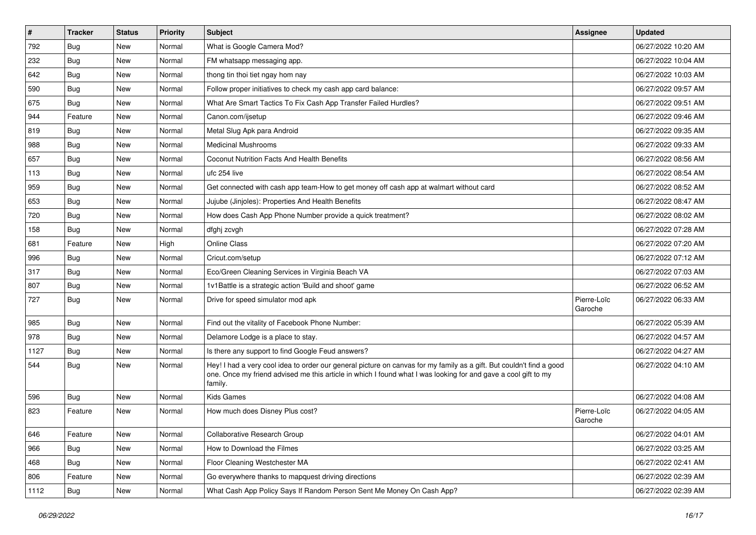| $\vert$ # | <b>Tracker</b> | <b>Status</b> | <b>Priority</b> | Subject                                                                                                                                                                                                                                           | <b>Assignee</b>        | <b>Updated</b>      |
|-----------|----------------|---------------|-----------------|---------------------------------------------------------------------------------------------------------------------------------------------------------------------------------------------------------------------------------------------------|------------------------|---------------------|
| 792       | <b>Bug</b>     | New           | Normal          | What is Google Camera Mod?                                                                                                                                                                                                                        |                        | 06/27/2022 10:20 AM |
| 232       | Bug            | New           | Normal          | FM whatsapp messaging app.                                                                                                                                                                                                                        |                        | 06/27/2022 10:04 AM |
| 642       | Bug            | New           | Normal          | thong tin thoi tiet ngay hom nay                                                                                                                                                                                                                  |                        | 06/27/2022 10:03 AM |
| 590       | <b>Bug</b>     | New           | Normal          | Follow proper initiatives to check my cash app card balance:                                                                                                                                                                                      |                        | 06/27/2022 09:57 AM |
| 675       | Bug            | New           | Normal          | What Are Smart Tactics To Fix Cash App Transfer Failed Hurdles?                                                                                                                                                                                   |                        | 06/27/2022 09:51 AM |
| 944       | Feature        | New           | Normal          | Canon.com/ijsetup                                                                                                                                                                                                                                 |                        | 06/27/2022 09:46 AM |
| 819       | <b>Bug</b>     | New           | Normal          | Metal Slug Apk para Android                                                                                                                                                                                                                       |                        | 06/27/2022 09:35 AM |
| 988       | Bug            | New           | Normal          | <b>Medicinal Mushrooms</b>                                                                                                                                                                                                                        |                        | 06/27/2022 09:33 AM |
| 657       | <b>Bug</b>     | New           | Normal          | Coconut Nutrition Facts And Health Benefits                                                                                                                                                                                                       |                        | 06/27/2022 08:56 AM |
| 113       | Bug            | New           | Normal          | ufc 254 live                                                                                                                                                                                                                                      |                        | 06/27/2022 08:54 AM |
| 959       | <b>Bug</b>     | New           | Normal          | Get connected with cash app team-How to get money off cash app at walmart without card                                                                                                                                                            |                        | 06/27/2022 08:52 AM |
| 653       | <b>Bug</b>     | New           | Normal          | Jujube (Jinjoles): Properties And Health Benefits                                                                                                                                                                                                 |                        | 06/27/2022 08:47 AM |
| 720       | <b>Bug</b>     | <b>New</b>    | Normal          | How does Cash App Phone Number provide a quick treatment?                                                                                                                                                                                         |                        | 06/27/2022 08:02 AM |
| 158       | Bug            | New           | Normal          | dfghj zcvgh                                                                                                                                                                                                                                       |                        | 06/27/2022 07:28 AM |
| 681       | Feature        | <b>New</b>    | High            | Online Class                                                                                                                                                                                                                                      |                        | 06/27/2022 07:20 AM |
| 996       | <b>Bug</b>     | New           | Normal          | Cricut.com/setup                                                                                                                                                                                                                                  |                        | 06/27/2022 07:12 AM |
| 317       | <b>Bug</b>     | New           | Normal          | Eco/Green Cleaning Services in Virginia Beach VA                                                                                                                                                                                                  |                        | 06/27/2022 07:03 AM |
| 807       | Bug            | New           | Normal          | 1v1Battle is a strategic action 'Build and shoot' game                                                                                                                                                                                            |                        | 06/27/2022 06:52 AM |
| 727       | <b>Bug</b>     | New           | Normal          | Drive for speed simulator mod apk                                                                                                                                                                                                                 | Pierre-Loïc<br>Garoche | 06/27/2022 06:33 AM |
| 985       | Bug            | <b>New</b>    | Normal          | Find out the vitality of Facebook Phone Number:                                                                                                                                                                                                   |                        | 06/27/2022 05:39 AM |
| 978       | Bug            | New           | Normal          | Delamore Lodge is a place to stay.                                                                                                                                                                                                                |                        | 06/27/2022 04:57 AM |
| 1127      | <b>Bug</b>     | New           | Normal          | Is there any support to find Google Feud answers?                                                                                                                                                                                                 |                        | 06/27/2022 04:27 AM |
| 544       | Bug            | New           | Normal          | Hey! I had a very cool idea to order our general picture on canvas for my family as a gift. But couldn't find a good<br>one. Once my friend advised me this article in which I found what I was looking for and gave a cool gift to my<br>family. |                        | 06/27/2022 04:10 AM |
| 596       | Bug            | New           | Normal          | <b>Kids Games</b>                                                                                                                                                                                                                                 |                        | 06/27/2022 04:08 AM |
| 823       | Feature        | New           | Normal          | How much does Disney Plus cost?                                                                                                                                                                                                                   | Pierre-Loïc<br>Garoche | 06/27/2022 04:05 AM |
| 646       | Feature        | New           | Normal          | Collaborative Research Group                                                                                                                                                                                                                      |                        | 06/27/2022 04:01 AM |
| 966       | <b>Bug</b>     | New           | Normal          | How to Download the Filmes                                                                                                                                                                                                                        |                        | 06/27/2022 03:25 AM |
| 468       | <b>Bug</b>     | New           | Normal          | Floor Cleaning Westchester MA                                                                                                                                                                                                                     |                        | 06/27/2022 02:41 AM |
| 806       | Feature        | New           | Normal          | Go everywhere thanks to mapquest driving directions                                                                                                                                                                                               |                        | 06/27/2022 02:39 AM |
| 1112      | <b>Bug</b>     | New           | Normal          | What Cash App Policy Says If Random Person Sent Me Money On Cash App?                                                                                                                                                                             |                        | 06/27/2022 02:39 AM |